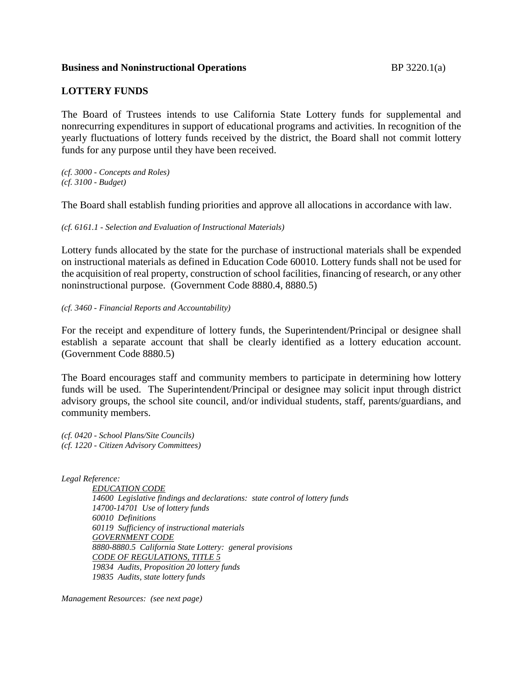## **Business and Noninstructional Operations** BP 3220.1(a)

## **LOTTERY FUNDS**

The Board of Trustees intends to use California State Lottery funds for supplemental and nonrecurring expenditures in support of educational programs and activities. In recognition of the yearly fluctuations of lottery funds received by the district, the Board shall not commit lottery funds for any purpose until they have been received.

*(cf. 3000 - Concepts and Roles) (cf. 3100 - Budget)*

The Board shall establish funding priorities and approve all allocations in accordance with law.

*(cf. 6161.1 - Selection and Evaluation of Instructional Materials)*

Lottery funds allocated by the state for the purchase of instructional materials shall be expended on instructional materials as defined in Education Code 60010. Lottery funds shall not be used for the acquisition of real property, construction of school facilities, financing of research, or any other noninstructional purpose. (Government Code 8880.4, 8880.5)

*(cf. 3460 - Financial Reports and Accountability)*

For the receipt and expenditure of lottery funds, the Superintendent/Principal or designee shall establish a separate account that shall be clearly identified as a lottery education account. (Government Code 8880.5)

The Board encourages staff and community members to participate in determining how lottery funds will be used. The Superintendent/Principal or designee may solicit input through district advisory groups, the school site council, and/or individual students, staff, parents/guardians, and community members.

*(cf. 0420 - School Plans/Site Councils) (cf. 1220 - Citizen Advisory Committees)*

*Legal Reference:*

*EDUCATION CODE 14600 Legislative findings and declarations: state control of lottery funds 14700-14701 Use of lottery funds 60010 Definitions 60119 Sufficiency of instructional materials GOVERNMENT CODE 8880-8880.5 California State Lottery: general provisions CODE OF REGULATIONS, TITLE 5 19834 Audits, Proposition 20 lottery funds 19835 Audits, state lottery funds*

*Management Resources: (see next page)*